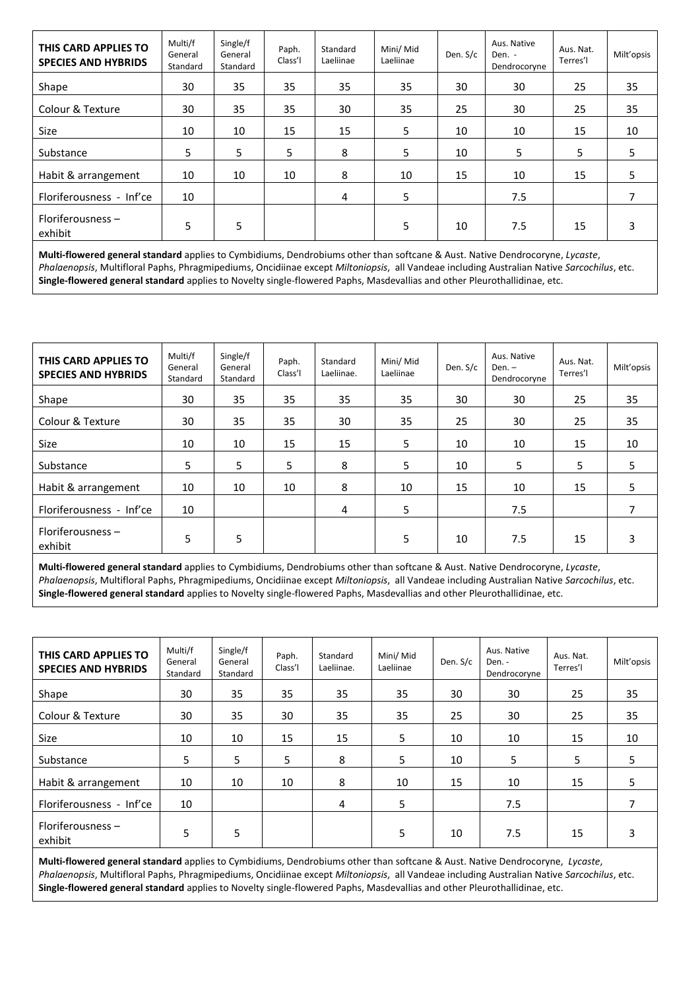| THIS CARD APPLIES TO<br><b>SPECIES AND HYBRIDS</b> | Multi/f<br>General<br>Standard | Single/f<br>General<br>Standard | Paph.<br>Class'l | Standard<br>Laeliinae | Mini/ Mid<br>Laeliinae | Den. S/c | Aus. Native<br>Den. -<br>Dendrocoryne | Aus. Nat.<br>Terres'l | Milt'opsis |
|----------------------------------------------------|--------------------------------|---------------------------------|------------------|-----------------------|------------------------|----------|---------------------------------------|-----------------------|------------|
| Shape                                              | 30                             | 35                              | 35               | 35                    | 35                     | 30       | 30                                    | 25                    | 35         |
| Colour & Texture                                   | 30                             | 35                              | 35               | 30                    | 35                     | 25       | 30                                    | 25                    | 35         |
| <b>Size</b>                                        | 10                             | 10                              | 15               | 15                    | 5                      | 10       | 10                                    | 15                    | 10         |
| Substance                                          | 5                              | 5                               | 5                | 8                     | 5                      | 10       | 5                                     | 5                     | 5          |
| Habit & arrangement                                | 10                             | 10                              | 10               | 8                     | 10                     | 15       | 10                                    | 15                    | 5          |
| Floriferousness - Inf'ce                           | 10                             |                                 |                  | 4                     | 5                      |          | 7.5                                   |                       | 7          |
| Floriferousness -<br>exhibit                       | 5                              | 5                               |                  |                       | 5                      | 10       | 7.5                                   | 15                    | 3          |

**Multi-flowered general standard** applies to Cymbidiums, Dendrobiums other than softcane & Aust. Native Dendrocoryne, *Lycaste*, *Phalaenopsis*, Multifloral Paphs, Phragmipediums, Oncidiinae except *Miltoniopsis*, all Vandeae including Australian Native *Sarcochilus*, etc. **Single-flowered general standard** applies to Novelty single-flowered Paphs, Masdevallias and other Pleurothallidinae, etc.

| THIS CARD APPLIES TO<br><b>SPECIES AND HYBRIDS</b> | Multi/f<br>General<br>Standard | Single/f<br>General<br>Standard | Paph.<br>Class'l | Standard<br>Laeliinae. | Mini/ Mid<br>Laeliinae | Den. S/c | Aus. Native<br>Den. –<br>Dendrocoryne | Aus. Nat.<br>Terres'l | Milt'opsis |
|----------------------------------------------------|--------------------------------|---------------------------------|------------------|------------------------|------------------------|----------|---------------------------------------|-----------------------|------------|
| Shape                                              | 30                             | 35                              | 35               | 35                     | 35                     | 30       | 30                                    | 25                    | 35         |
| Colour & Texture                                   | 30                             | 35                              | 35               | 30                     | 35                     | 25       | 30                                    | 25                    | 35         |
| Size                                               | 10                             | 10                              | 15               | 15                     | 5                      | 10       | 10                                    | 15                    | 10         |
| Substance                                          | 5                              | 5                               | 5                | 8                      | 5                      | 10       | 5                                     | 5                     | 5          |
| Habit & arrangement                                | 10                             | 10                              | 10               | 8                      | 10                     | 15       | 10                                    | 15                    | 5          |
| Floriferousness - Inf'ce                           | 10                             |                                 |                  | 4                      | 5                      |          | 7.5                                   |                       |            |
| Floriferousness -<br>exhibit                       | 5                              | 5                               |                  |                        | 5                      | 10       | 7.5                                   | 15                    | 3          |

**Multi-flowered general standard** applies to Cymbidiums, Dendrobiums other than softcane & Aust. Native Dendrocoryne, *Lycaste*, *Phalaenopsis*, Multifloral Paphs, Phragmipediums, Oncidiinae except *Miltoniopsis*, all Vandeae including Australian Native *Sarcochilus*, etc. **Single-flowered general standard** applies to Novelty single-flowered Paphs, Masdevallias and other Pleurothallidinae, etc.

| THIS CARD APPLIES TO<br><b>SPECIES AND HYBRIDS</b> | Multi/f<br>General<br>Standard | Single/f<br>General<br>Standard | Paph.<br>Class'l | Standard<br>Laeliinae. | Mini/ Mid<br>Laeliinae | Den. S/c | Aus. Native<br>Den. -<br>Dendrocoryne | Aus. Nat.<br>Terres'l | Milt'opsis |
|----------------------------------------------------|--------------------------------|---------------------------------|------------------|------------------------|------------------------|----------|---------------------------------------|-----------------------|------------|
| Shape                                              | 30                             | 35                              | 35               | 35                     | 35                     | 30       | 30                                    | 25                    | 35         |
| Colour & Texture                                   | 30                             | 35                              | 30               | 35                     | 35                     | 25       | 30                                    | 25                    | 35         |
| Size                                               | 10                             | 10                              | 15               | 15                     | 5                      | 10       | 10                                    | 15                    | 10         |
| Substance                                          | 5                              | 5                               | 5                | 8                      | 5                      | 10       | 5                                     | 5                     | 5          |
| Habit & arrangement                                | 10                             | 10                              | 10               | 8                      | 10                     | 15       | 10                                    | 15                    | 5          |
| Floriferousness - Inf'ce                           | 10                             |                                 |                  | 4                      | 5                      |          | 7.5                                   |                       |            |
| Floriferousness $-$<br>exhibit                     | 5                              | 5                               |                  |                        | 5                      | 10       | 7.5                                   | 15                    | 3          |

**Multi-flowered general standard** applies to Cymbidiums, Dendrobiums other than softcane & Aust. Native Dendrocoryne, *Lycaste*, *Phalaenopsis*, Multifloral Paphs, Phragmipediums, Oncidiinae except *Miltoniopsis*, all Vandeae including Australian Native *Sarcochilus*, etc. **Single-flowered general standard** applies to Novelty single-flowered Paphs, Masdevallias and other Pleurothallidinae, etc.